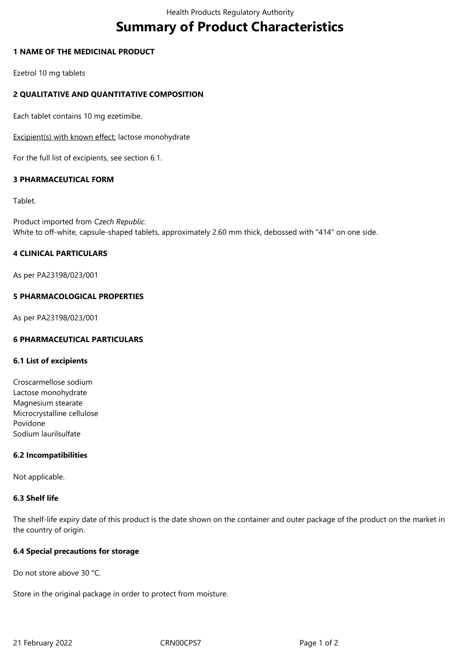# **Summary of Product Characteristics**

## **1 NAME OF THE MEDICINAL PRODUCT**

Ezetrol 10 mg tablets

# **2 QUALITATIVE AND QUANTITATIVE COMPOSITION**

Each tablet contains 10 mg ezetimibe.

Excipient(s) with known effect: lactose monohydrate

For the full list of excipients, see section 6.1.

## **3 PHARMACEUTICAL FORM**

## Tablet.

Product imported from *Czech Republic.* White to off-white, capsule-shaped tablets, approximately 2.60 mm thick, debossed with "414" on one side.

# **4 CLINICAL PARTICULARS**

As per PA23198/023/001

# **5 PHARMACOLOGICAL PROPERTIES**

As per PA23198/023/001

# **6 PHARMACEUTICAL PARTICULARS**

#### **6.1 List of excipients**

Croscarmellose sodium Lactose monohydrate Magnesium stearate Microcrystalline cellulose Povidone Sodium laurilsulfate

# **6.2 Incompatibilities**

Not applicable.

#### **6.3 Shelf life**

The shelf-life expiry date of this product is the date shown on the container and outer package of the product on the market in the country of origin.

#### **6.4 Special precautions for storage**

Do not store above 30 °C.

Store in the original package in order to protect from moisture.